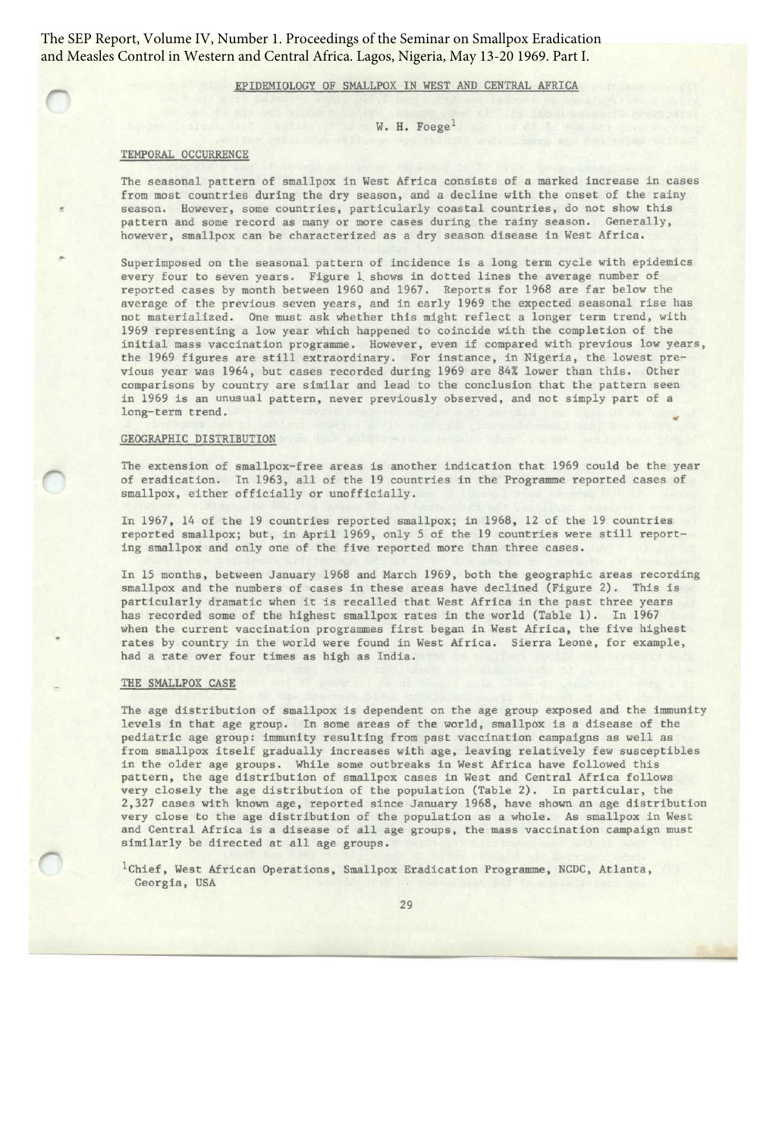The SEP Report, Volume IV, Number 1. Proceedings of the Seminar on Smallpox Eradication and Measles Control in Western and Central Africa. Lagos, Nigeria, May 13-20 1969. Part I.

### EPIDEMIOLOGY OF SMALLPDX IN WEST AND CENTRAL AFRICA

### W. H. Foege<sup>1</sup>

#### TEMPORAL OCCURRENCE

The seasonal pattern of smallpox in West Africa consists of a marked increase in cases from most countries during the dry season, and a decline with the onset of the rainy season. However, some countries, particularly coastal countries, do not show this pattern and some record as many or more cases during the rainy season. Generally, however, smallpox can be characterized as a dry season disease in West Africa.

Superimposed on the seasonal pattern of incidence is a long term cycle with epidemics every four to seven years. Figure 1 shows in dotted lines the average number of reported cases by month between 1960 and 1967 . Reports for 1968 are far below the average of the previous seven years, and in early 1969 the expected seasonal rise has not materialized. One must ask whether this might reflect a longer term trend, with 1969 representing a low year which happened to coincide with the completion of the initial mass vaccination programme. However, even if compared with previous low years, the 1969 figures are still extraordinary. For instance, in Nigeria, the lowest previous year was 1964, but cases recorded during 1969 are 84% lower than this. Other comparisons by country are similar and lead to the conclusion that the pattern seen in 1969 is an unusual pattern, never previously observed, and not simply part of a long-term trend.

### GEOGRAPHIC DISTRIBUTION

The extension of smallpox-free areas is another indication that 1969 could be the year of eradication. In 1963, all of the 19 countries in the Programme reported cases of smallpox, either officially or unofficially.

In 1967, 14 of the 19 countries reported smallpox; in 1968, 12 of the 19 countries reported smallpox; but, in April 1969, only 5 of the 19 countries were still reporting smallpox and only one of the five reported more than three cases.

In 15 months, between January 1968 and March 1969, both the geographic areas recording smallpox and the numbers of cases in these areas have declined (Figure 2). This is particularly dramatic when it is recalled that West Africa in the past three years has recorded some of the highest smallpox rates in the world (Table 1). In 1967 when the current vaccination programmes first began in West Africa, the five highest rates by country in the world were found in West Africa. Sierra Leone, for example, had a rate over four times as high as India.

#### THE SMALLPOX CASE

The age distribution of smallpox is dependent on the age group exposed and the immunity levels in that age group. In some areas of the world, smallpox is a disease of the pediatric age group: immunity resulting from past vaccination campaigns as well as from smallpox itself gradually increases with age, leaving relatively few susceptibles in the older age groups. While some outbreaks in West Africa have followed this pattern, the age distribution of smallpox cases in West and Central Africa follows very closely the age distribution of the population (Table 2). In particular, the 2,327 cases with known age, reported since January 1968, have shown an age distribution very close to the age distribution of the population as a whole. As smallpox in West and Central Africa is a disease of all age groups, the mass vaccination campaign must similarly be directed at all age groups.

<sup>1</sup>Chief, West African Operations, Smallpox Eradication Programme, NCDC, Atlanta, Georgia, USA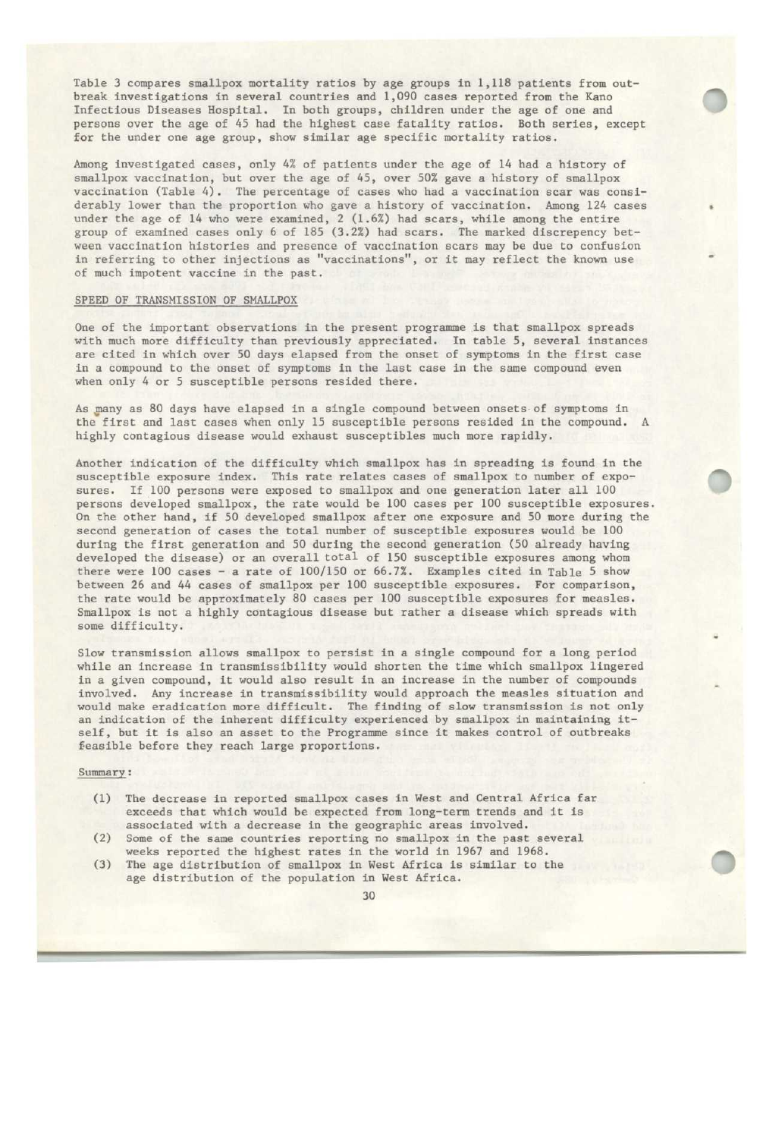Table 3 compares smallpox mortality ratios by age groups in 1,118 patients from outbreak investigations in several countries and 1,090 cases reported from the Kano Infectious Diseases Hospital. In both groups, children under the age of one and persons over the age of 45 had the highest case fatality ratios. Both series, except for the under one age group, show similar age specific mortality ratios.

Among investigated cases, only 4% of patients under the age of 14 had a history of smallpox vaccination, but over the age of 45, over 50% gave a history of smallpox vaccination (Table 4). The percentage of cases who had a vaccination scar was considerably lower than the proportion who gave a history of vaccination. Among 124 cases under the age of 14 who were examined, 2 (1 .6%) had scars, while among the entire group of examined cases only 6 of 185 (3 .2%) had scars . The marked discrepency between vaccination histories and presence of vaccination scars may be due to confusion in referring to other injections as "vaccinations", or it may reflect the known use of much impotent vaccine in the past.

#### SPEED OF TRANSMISSION OF SMALLPOX

One of the important observations in the present programme is that smallpox spreads with much more difficulty than previously appreciated. In table 5, several instances are cited in which over 50 days elapsed from the onset of symptoms in the first case in a compound to the onset of symptoms in the last case in the same compound even when only 4 or 5 susceptible persons resided there.

As many as 80 days have elapsed in a single compound between onsets of symptoms in the first and last cases when only 15 susceptible persons resided in the compound. A highly contagious disease would exhaust susceptibles much more rapidly.

Another indication of the difficulty which smallpox has in spreading is found in the susceptible exposure index. This rate relates cases of smallpox to number of exposures. If 100 persons were exposed to smallpox and one generation later all 100 persons developed smallpox, the rate would be 100 cases per 100 susceptible exposures. On the other hand, if 50 developed smallpox after one exposure and 50 more during the second generation of cases the total number of susceptible exposures would be 100 during the first generation and 50 during the second generation (50 already having developed the disease) or an overall total of 150 susceptible exposures among whom there were 100 cases - a rate of 100/150 or 66.7%. Examples cited in Table 5 show between 26 and 44 cases of smallpox per 100 susceptible exposures. For comparison, the rate would be approximately 80 cases per 100 susceptible exposures for measles. Smallpox is not a highly contagious disease but rather a disease which spreads with some difficulty.

Slow transmission allows smallpox to persist in a single compound for a long period while an increase in transmissibility would shorten the time which smallpox lingered in a given compound, it would also result in an increase in the number of compounds involved. Any increase in transmissibility would approach the measles situation and would make eradication more difficult . The finding of slow transmission is not only an indication of the inherent difficulty experienced by smallpox in maintaining itself, but it is also an asset to the Programme since it makes control of outbreaks feasible before they reach large proportions.

### Summary:

- (1) The decrease in reported smallpox cases in West and Central Africa far exceeds that which would be expected from long-term trends and it is associated with a decrease in the geographic areas involved.
- (2) Some of the same countries reporting no smallpox in the past several weeks reported the highest rates in the world in 1967 and 1968.
- (3) The age distribution of smallpox in West Africa is similar to the age distribution of the population in West Africa.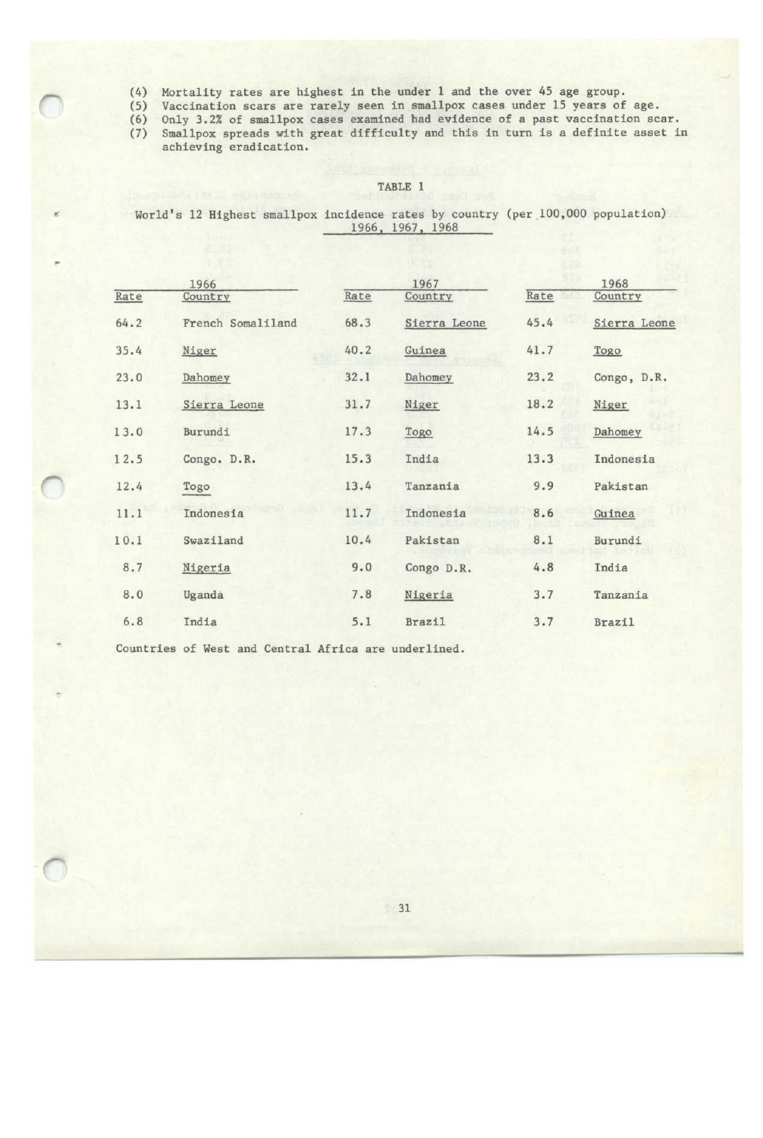- (4) Mortality rates are highest in the under 1 and the over 45 age group.
- (5) Vaccination scars are rarely seen in smallpox cases under 15 years of age.
- (6) Only 3 .2% of smallpox cases examined had evidence of a past vaccination scar.
- (7) Smallpox spreads with great difficulty and this in turn is a definite asset in achieving eradication.

World's 12 Highest smallpox incidence rates by country (per 100,000 population) 1966, 1967, 1968

|      | 1966              |      | 1967          |      | 1968          |
|------|-------------------|------|---------------|------|---------------|
| Rate | Country           | Rate | Country       | Rate | Country       |
| 64.2 | French Somaliland | 68.3 | Sierra Leone  | 45.4 | Sierra Leone  |
| 35.4 | Niger             | 40.2 | Guinea        | 41.7 | Togo          |
| 23.0 | Dahomey           | 32.1 | Dahomey       | 23.2 | Congo, D.R.   |
| 13.1 | Sierra Leone      | 31.7 | Niger         | 18.2 | Niger         |
| 13.0 | Burundi           | 17.3 | Togo          | 14.5 | Dahomey       |
| 12.5 | Congo. D.R.       | 15.3 | India         | 13.3 | Indonesia     |
| 12.4 | Togo              | 13.4 | Tanzania      | 9.9  | Pakistan      |
| 11.1 | Indonesia         | 11.7 | Indonesia     | 8.6  | Guinea        |
| 10.1 | Swaziland         | 10.4 | Pakistan      | 8.1  | Burundi       |
| 8.7  | Nigeria           | 9.0  | Congo D.R.    | 4.8  | India         |
| 8.0  | Uganda            | 7.8  | Nigeria       | 3.7  | Tanzania      |
| 6.8  | India             | 5.1  | <b>Brazil</b> | 3.7  | <b>Brazil</b> |

Countries of West and Central Africa are underlined.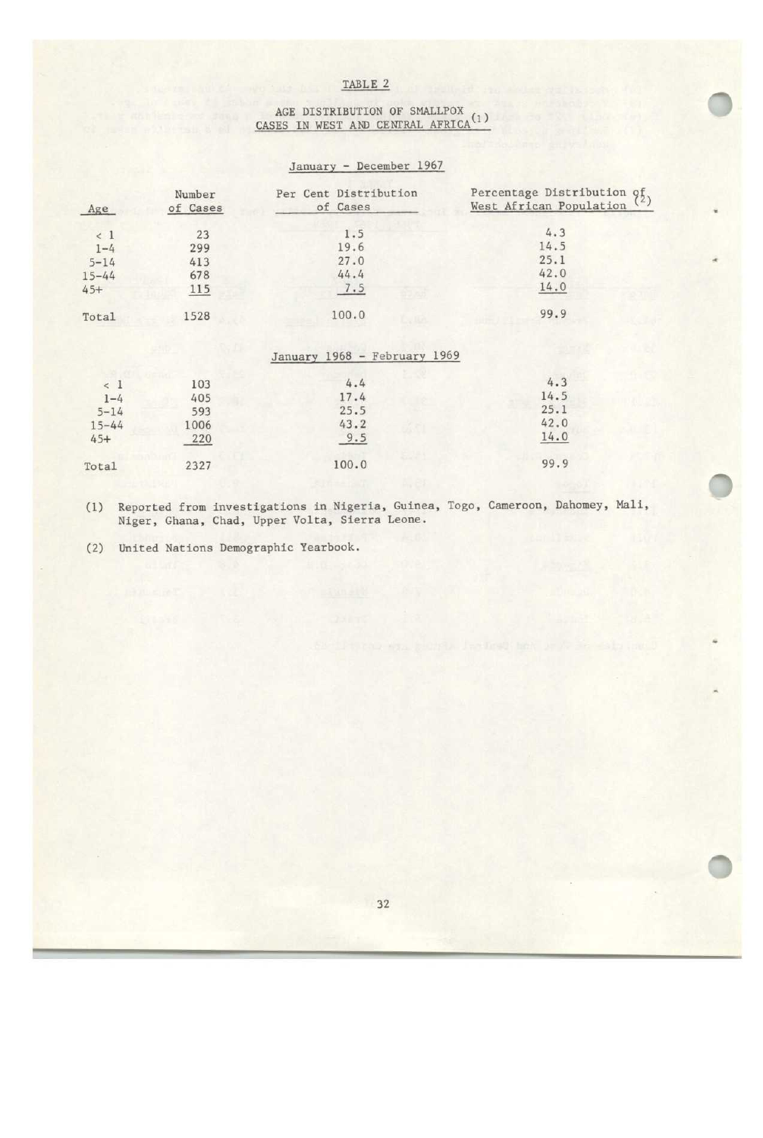### AGE DISTRIBUTION OF SMALLPDX CASES IN WEST AND CENTRAL AFRICA \*\*\*

## January - December 1967

| Age       | Number<br>of Cases | Per Cent Distribution<br>of Cases | Percentage Distribution of<br>West African Population <sup>(2)</sup> |
|-----------|--------------------|-----------------------------------|----------------------------------------------------------------------|
| < 1       | 23                 | 1.5                               | 4.3                                                                  |
| $1 - 4$   | 299                | 19.6                              | 14.5                                                                 |
| $5 - 14$  | 413                | 27.0                              | 25.1                                                                 |
| $15 - 44$ | 678                | 44.4                              | 42.0                                                                 |
| $45+$     | 115                | 7.5                               | 14.0                                                                 |
| Total     | 1528               | 100.0                             | 99.9                                                                 |

## January 1968 - February 1969

| < 1       | 103  | 4.4   | 4.3  |
|-----------|------|-------|------|
| $1 - 4$   | 405  | 17.4  | 14.5 |
| $5 - 14$  | 593  | 25.5  | 25.1 |
| $15 - 44$ | 1006 | 43.2  | 42.0 |
| $45+$     | 220  | 9.5   | 14.0 |
| Total     | 2327 | 100.0 | 99.9 |
|           |      |       |      |

(1) Reported from investigations in Nigeria, Guinea, Togo, Cameroon, Dahomey, Mali, Niger, Ghana, Chad, Upper Volta, Sierra Leone.

(2) United Nations Demographic Yearbook .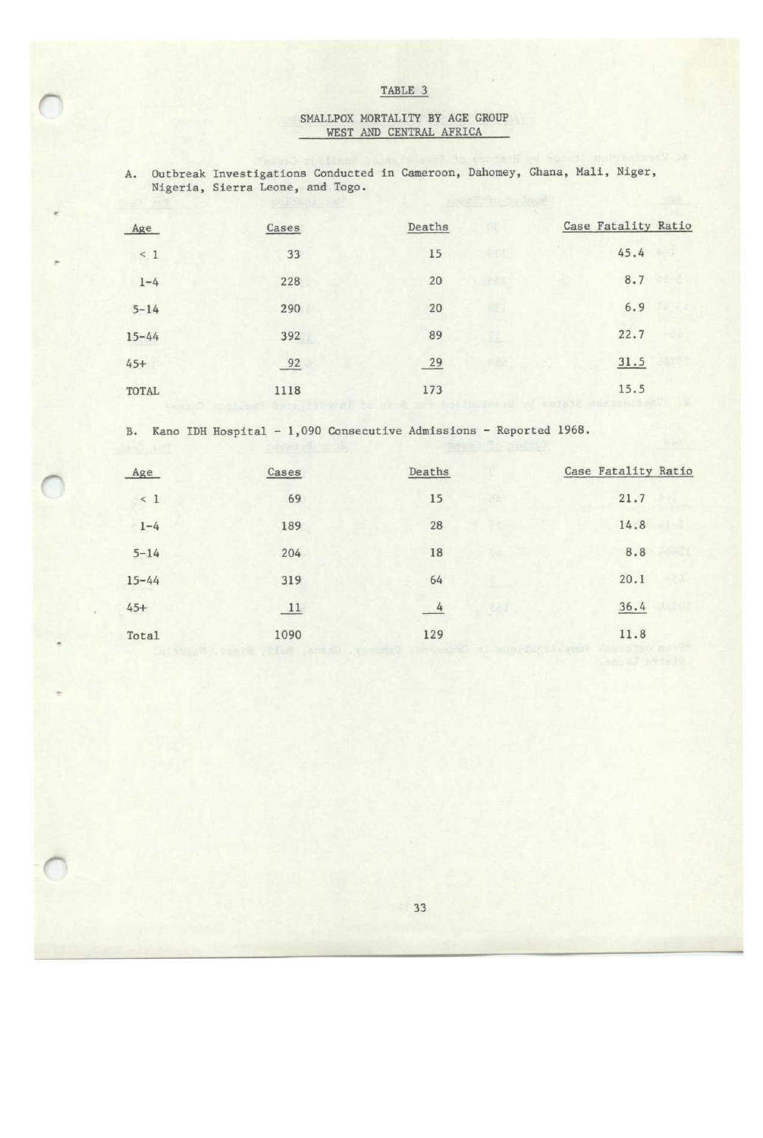## SMALLPOX MORTALITY BY AGE GROUP WEST AND CENTRAL AFRICA

| A.        | Outbreak Investigations Conducted in Cameroon, Dahomey, Ghana, Mali, Niger,<br>Nigeria, Sierra Leone, and Togo. |        |                       |                     |
|-----------|-----------------------------------------------------------------------------------------------------------------|--------|-----------------------|---------------------|
|           |                                                                                                                 |        | as and you you double |                     |
| Age       | Cases                                                                                                           | Deaths |                       | Case Fatality Ratio |
| < 1       | 33                                                                                                              | 15     |                       | 45.4                |
| $1 - 4$   | 228                                                                                                             | 20     | 記さだ                   | 8.7                 |
| $5 - 14$  | 290                                                                                                             | 20     | <b>BEE</b>            | 6.9                 |
| $15 - 44$ | 392                                                                                                             | 89     |                       | 22.7                |
| $45+$     | 92                                                                                                              | 29     |                       | 31.5                |
| TOTAL     | 1118                                                                                                            | 173    |                       | 15.5                |

B. Kano IDH Hospital - 1,090 Consecutive Admissions - Reported 1968.

| Age       | Cases | Deaths   | Case Fatality Ratio |
|-----------|-------|----------|---------------------|
| $\leq 1$  | 69    | 15<br>R. | 21.7                |
| $1 - 4$   | 189   | 28       | 14.8                |
| $5 - 14$  | 204   | 18       | 8.8                 |
| $15 - 44$ | 319   | 64       | 20.1                |
| $45+$     | 11    | 4        | 36.4                |
| Total     | 1090  | 129      | 11.8                |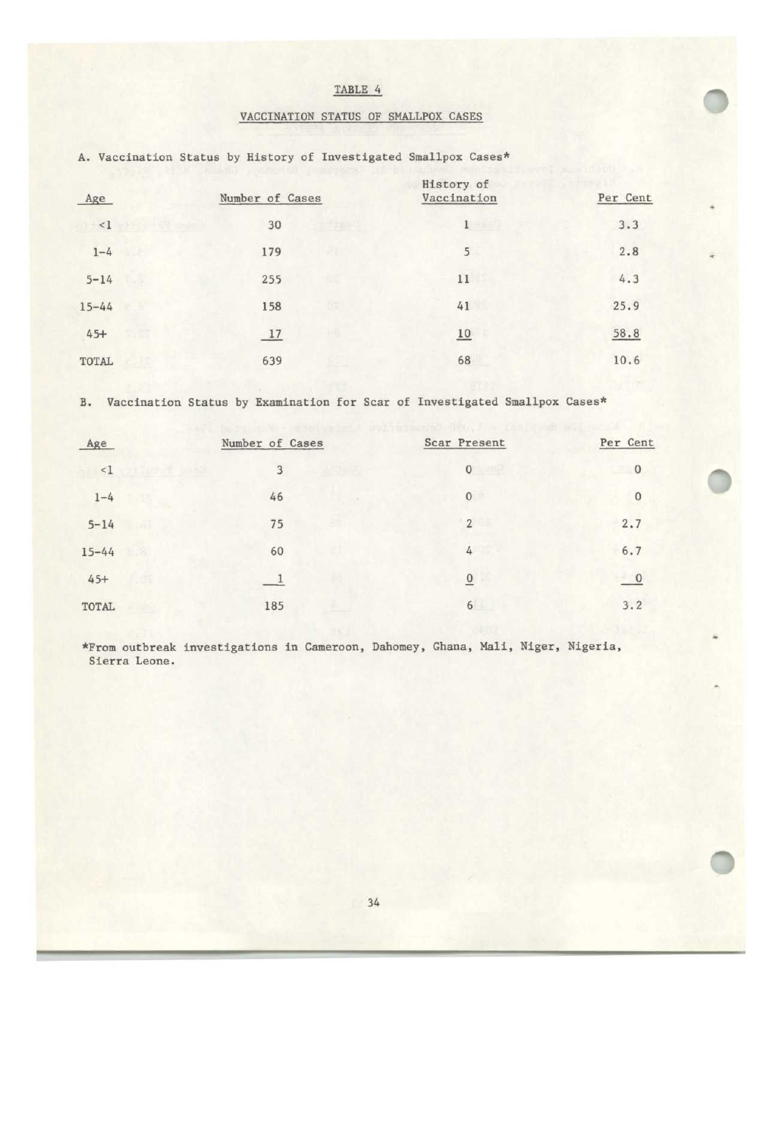|  |  | TABLE 4 |
|--|--|---------|
|  |  |         |

# VACCINATION STATUS OF SMALLPOX CASES

| Age       | Number of Cases | History of<br>Vaccination | Per Cent |
|-----------|-----------------|---------------------------|----------|
| <1        | 30              | $1 -$                     | 3.3      |
| $1 - 4$   | 179             | 5                         | 2.8      |
| $5 - 14$  | 255             | 11                        | 4.3      |
| $15 - 44$ | 158             | 41                        | 25.9     |
| $45+$     | 17              | 10                        | 58.8     |
| TOTAL     | 639             | 68                        | 10.6     |

A. Vaccination Status by History of Investigated Smallpox Cases\*

B. Vaccination Status by Examination for Scar of Investigated Smallpox Cases\*

| Age       |                   | Number of Cases |     | Scar Present     | Per Cent       |
|-----------|-------------------|-----------------|-----|------------------|----------------|
| <1        | <b>PACE MARKS</b> | 3               |     | $\mathbf{0}$     | $\mathbf{0}$   |
| $1 - 4$   |                   | 46              |     | $\boldsymbol{0}$ | $\bf 0$        |
| $5 - 14$  |                   | 75              | AM. | $\overline{2}$   | 2.7            |
| $15 - 44$ |                   | 60              |     | 4                | 6.7            |
| $45+$     |                   |                 |     | $\overline{0}$   | $\overline{0}$ |
| TOTAL     |                   | 185             |     | 6                | 3.2            |

\*From outbreak investigations in Cameroon, Dahomey, Ghana, Mali, Niger, Nigeria, Sierra Leone .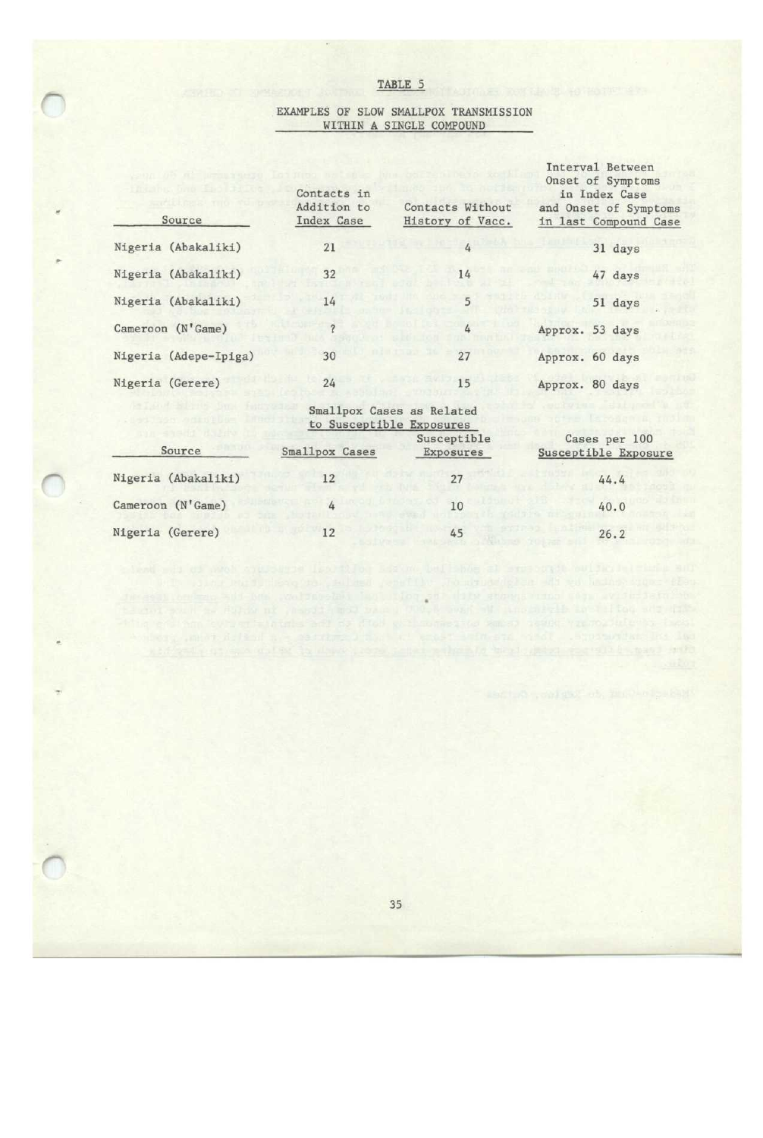### EXAMPLES OF SLOW SMALLPOX TRANSMISSION WITHIN A SINGLE COMPOUND

| Source                | Contacts in<br>Addition to<br>Index Case | Contacts Without<br>History of Vacc.                  | Interval Between<br>Onset of Symptoms<br>in Index Case<br>and Onset of Symptoms<br>in last Compound Case |
|-----------------------|------------------------------------------|-------------------------------------------------------|----------------------------------------------------------------------------------------------------------|
| Nigeria (Abakaliki)   | 21                                       | 4                                                     | 31 days                                                                                                  |
| Nigeria (Abakaliki)   | 32                                       | 14                                                    | 47 days                                                                                                  |
| Nigeria (Abakaliki)   | 14                                       | 5                                                     | 51 days                                                                                                  |
| Cameroon (N'Game)     |                                          | 4                                                     | Approx. 53 days                                                                                          |
| Nigeria (Adepe-Ipiga) | 30                                       | 27                                                    | Approx. 60 days                                                                                          |
| Nigeria (Gerere)      | 24                                       | 15                                                    | Approx. 80 days                                                                                          |
|                       |                                          | Smallpox Cases as Related<br>to Susceptible Exposures |                                                                                                          |
| Source                | Smallpox Cases                           | Susceptible<br>Exposures                              | Cases per 100<br>Susceptible Exposure                                                                    |
| Nigeria (Abakaliki)   | 12                                       | 27                                                    | 44.4                                                                                                     |
| Cameroon (N'Game)     | 4                                        | 10                                                    | 40.0                                                                                                     |

Nigeria (Gerere) 12 45 26.2